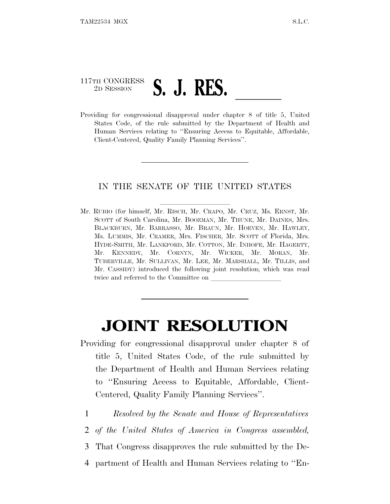## 117TH CONGRESS <sup>2D SESSION</sup> **S.** J. RES.<br>Providing for congressional disapproval under chapter 8 of title 5, United

States Code, of the rule submitted by the Department of Health and Human Services relating to ''Ensuring Access to Equitable, Affordable, Client-Centered, Quality Family Planning Services''.

## IN THE SENATE OF THE UNITED STATES

Mr. RUBIO (for himself, Mr. RISCH, Mr. CRAPO, Mr. CRUZ, Ms. ERNST, Mr. SCOTT of South Carolina, Mr. BOOZMAN, Mr. THUNE, Mr. DAINES, Mrs. BLACKBURN, Mr. BARRASSO, Mr. BRAUN, Mr. HOEVEN, Mr. HAWLEY, Ms. LUMMIS, Mr. CRAMER, Mrs. FISCHER, Mr. SCOTT of Florida, Mrs. HYDE-SMITH, Mr. LANKFORD, Mr. COTTON, Mr. INHOFE, Mr. HAGERTY, Mr. KENNEDY, Mr. CORNYN, Mr. WICKER, Mr. MORAN, Mr. TUBERVILLE, Mr. SULLIVAN, Mr. LEE, Mr. MARSHALL, Mr. TILLIS, and Mr. CASSIDY) introduced the following joint resolution; which was read twice and referred to the Committee on

## **JOINT RESOLUTION**

- Providing for congressional disapproval under chapter 8 of title 5, United States Code, of the rule submitted by the Department of Health and Human Services relating to ''Ensuring Access to Equitable, Affordable, Client-Centered, Quality Family Planning Services''.
	- 1 *Resolved by the Senate and House of Representatives*
	- 2 *of the United States of America in Congress assembled,*
	- 3 That Congress disapproves the rule submitted by the De-
- 4 partment of Health and Human Services relating to ''En-